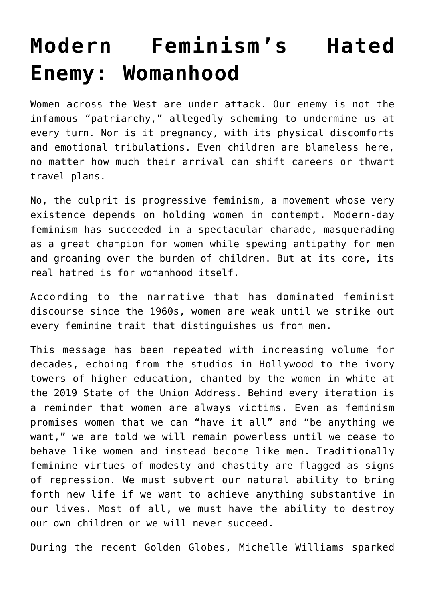## **[Modern Feminism's Hated](https://intellectualtakeout.org/2020/01/modern-feminisms-hated-enemy-womanhood/) [Enemy: Womanhood](https://intellectualtakeout.org/2020/01/modern-feminisms-hated-enemy-womanhood/)**

Women across the West are under attack. Our enemy is not the infamous "patriarchy," allegedly scheming to undermine us at every turn. Nor is it pregnancy, with its physical discomforts and emotional tribulations. Even children are blameless here, no matter how much their arrival can shift careers or thwart travel plans.

No, the culprit is progressive feminism, a movement whose very existence depends on holding women in contempt. Modern-day feminism has succeeded in a spectacular charade, masquerading as a great champion for women while spewing antipathy for men and groaning over the burden of children. But at its core, its real hatred is for womanhood itself.

According to the narrative that has dominated feminist discourse since the 1960s, women are weak until we strike out every feminine trait that distinguishes us from men.

This message has been repeated with increasing volume for decades, echoing from the studios in Hollywood to the ivory towers of higher education, chanted by the women in white at the 2019 State of the Union Address. Behind every iteration is a reminder that women are always victims. Even as feminism promises women that we can "have it all" and "be anything we want," we are told we will remain powerless until we cease to behave like women and instead become like men. Traditionally feminine virtues of modesty and chastity are flagged as signs of repression. We must subvert our natural ability to bring forth new life if we want to achieve anything substantive in our lives. Most of all, we must have the ability to destroy our own children or we will never succeed.

During the recent Golden Globes, Michelle Williams sparked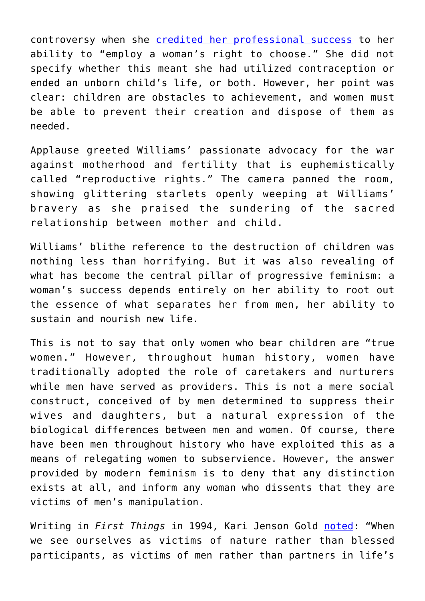controversy when she [credited her professional success](https://www.cbsnews.com/news/golden-globes-michelle-williams-advocates-for-womens-rights-in-golden-globes-speech/) to her ability to "employ a woman's right to choose." She did not specify whether this meant she had utilized contraception or ended an unborn child's life, or both. However, her point was clear: children are obstacles to achievement, and women must be able to prevent their creation and dispose of them as needed.

Applause greeted Williams' passionate advocacy for the war against motherhood and fertility that is euphemistically called "reproductive rights." The camera panned the room, showing glittering starlets openly weeping at Williams' bravery as she praised the sundering of the sacred relationship between mother and child.

Williams' blithe reference to the destruction of children was nothing less than horrifying. But it was also revealing of what has become the central pillar of progressive feminism: a woman's success depends entirely on her ability to root out the essence of what separates her from men, her ability to sustain and nourish new life.

This is not to say that only women who bear children are "true women." However, throughout human history, women have traditionally adopted the role of caretakers and nurturers while men have served as providers. This is not a mere social construct, conceived of by men determined to suppress their wives and daughters, but a natural expression of the biological differences between men and women. Of course, there have been men throughout history who have exploited this as a means of relegating women to subservience. However, the answer provided by modern feminism is to deny that any distinction exists at all, and inform any woman who dissents that they are victims of men's manipulation.

Writing in *First Things* in 1994, Kari Jenson Gold [noted](https://www.firstthings.com/article/1994/01/getting-real): "When we see ourselves as victims of nature rather than blessed participants, as victims of men rather than partners in life's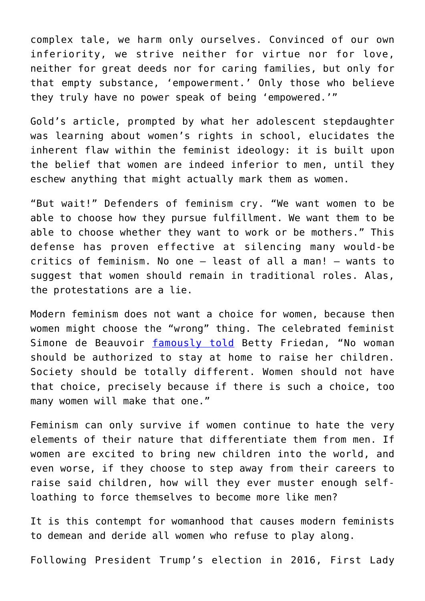complex tale, we harm only ourselves. Convinced of our own inferiority, we strive neither for virtue nor for love, neither for great deeds nor for caring families, but only for that empty substance, 'empowerment.' Only those who believe they truly have no power speak of being 'empowered.'"

Gold's article, prompted by what her adolescent stepdaughter was learning about women's rights in school, elucidates the inherent flaw within the feminist ideology: it is built upon the belief that women are indeed inferior to men, until they eschew anything that might actually mark them as women.

"But wait!" Defenders of feminism cry. "We want women to be able to choose how they pursue fulfillment. We want them to be able to choose whether they want to work or be mothers." This defense has proven effective at silencing many would-be critics of feminism. No one – least of all a man! – wants to suggest that women should remain in traditional roles. Alas, the protestations are a lie.

Modern feminism does not want a choice for women, because then women might choose the "wrong" thing. The celebrated feminist Simone de Beauvoir [famously told](https://www.crisismagazine.com/2012/the-oppressed-lives-of-stay-at-home-moms) Betty Friedan, "No woman should be authorized to stay at home to raise her children. Society should be totally different. Women should not have that choice, precisely because if there is such a choice, too many women will make that one."

Feminism can only survive if women continue to hate the very elements of their nature that differentiate them from men. If women are excited to bring new children into the world, and even worse, if they choose to step away from their careers to raise said children, how will they ever muster enough selfloathing to force themselves to become more like men?

It is this contempt for womanhood that causes modern feminists to demean and deride all women who refuse to play along.

Following President Trump's election in 2016, First Lady